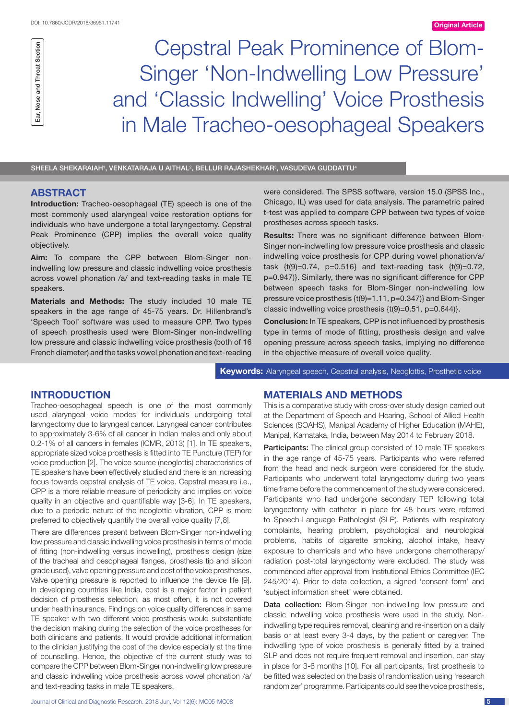Ear, Nose and Throat Section Ear, Nose and Throat Section

Cepstral Peak Prominence of Blom-Singer 'Non-Indwelling Low Pressure' and 'Classic Indwelling' Voice Prosthesis in Male Tracheo-oesophageal Speakers

SHEELA SHEKARAIAH', VENKATARAJA U AITHAL<sup>2</sup>, BELLUR RAJASHEKHAR<sup>3</sup>, VASUDEVA GUDDATTU<sup>4</sup>

# **ABSTRACT**

**Introduction:** Tracheo-oesophageal (TE) speech is one of the most commonly used alaryngeal voice restoration options for individuals who have undergone a total laryngectomy. Cepstral Peak Prominence (CPP) implies the overall voice quality objectively.

**Aim:** To compare the CPP between Blom-Singer nonindwelling low pressure and classic indwelling voice prosthesis across vowel phonation /a/ and text-reading tasks in male TE speakers.

**Materials and Methods:** The study included 10 male TE speakers in the age range of 45-75 years. Dr. Hillenbrand's 'Speech Tool' software was used to measure CPP. Two types of speech prosthesis used were Blom-Singer non-indwelling low pressure and classic indwelling voice prosthesis (both of 16 French diameter) and the tasks vowel phonation and text-reading

were considered. The SPSS software, version 15.0 (SPSS Inc., Chicago, IL) was used for data analysis. The parametric paired t-test was applied to compare CPP between two types of voice prostheses across speech tasks.

**Results:** There was no significant difference between Blom-Singer non-indwelling low pressure voice prosthesis and classic indwelling voice prosthesis for CPP during vowel phonation/a/ task  $\{t(9)=0.74, p=0.516\}$  and text-reading task  $\{t(9)=0.72,$ p=0.947)}. Similarly, there was no significant difference for CPP between speech tasks for Blom-Singer non-indwelling low pressure voice prosthesis {t(9)=1.11, p=0.347)} and Blom-Singer classic indwelling voice prosthesis {t(9)=0.51, p=0.644)}.

**Conclusion:** In TE speakers, CPP is not influenced by prosthesis type in terms of mode of fitting, prosthesis design and valve opening pressure across speech tasks, implying no difference in the objective measure of overall voice quality.

**Keywords:** Alaryngeal speech, Cepstral analysis, Neoglottis, Prosthetic voice

## **Introduction**

Tracheo-oesophageal speech is one of the most commonly used alaryngeal voice modes for individuals undergoing total laryngectomy due to laryngeal cancer. Laryngeal cancer contributes to approximately 3-6% of all cancer in Indian males and only about 0.2-1% of all cancers in females (ICMR, 2013) [1]. In TE speakers, appropriate sized voice prosthesis is fitted into TE Puncture (TEP) for voice production [2]. The voice source (neoglottis) characteristics of TE speakers have been effectively studied and there is an increasing focus towards cepstral analysis of TE voice. Cepstral measure i.e., CPP is a more reliable measure of periodicity and implies on voice quality in an objective and quantifiable way [3-6]. In TE speakers, due to a periodic nature of the neoglottic vibration, CPP is more preferred to objectively quantify the overall voice quality [7,8].

There are differences present between Blom-Singer non-indwelling low pressure and classic indwelling voice prosthesis in terms of mode of fitting (non-indwelling versus indwelling), prosthesis design (size of the tracheal and oesophageal flanges, prosthesis tip and silicon grade used), valve opening pressure and cost of the voice prostheses. Valve opening pressure is reported to influence the device life [9]. In developing countries like India, cost is a major factor in patient decision of prosthesis selection, as most often, it is not covered under health insurance. Findings on voice quality differences in same TE speaker with two different voice prosthesis would substantiate the decision making during the selection of the voice prostheses for both clinicians and patients. It would provide additional information to the clinician justifying the cost of the device especially at the time of counselling. Hence, the objective of the current study was to compare the CPP between Blom-Singer non-indwelling low pressure and classic indwelling voice prosthesis across vowel phonation /a/ and text-reading tasks in male TE speakers.

# **Materials and Methods**

This is a comparative study with cross-over study design carried out at the Department of Speech and Hearing, School of Allied Health Sciences (SOAHS), Manipal Academy of Higher Education (MAHE), Manipal, Karnataka, India, between May 2014 to February 2018.

Participants: The clinical group consisted of 10 male TE speakers in the age range of 45-75 years. Participants who were referred from the head and neck surgeon were considered for the study. Participants who underwent total laryngectomy during two years time frame before the commencement of the study were considered. Participants who had undergone secondary TEP following total laryngectomy with catheter in place for 48 hours were referred to Speech-Language Pathologist (SLP). Patients with respiratory complaints, hearing problem, psychological and neurological problems, habits of cigarette smoking, alcohol intake, heavy exposure to chemicals and who have undergone chemotherapy/ radiation post-total laryngectomy were excluded. The study was commenced after approval from Institutional Ethics Committee (IEC 245/2014). Prior to data collection, a signed 'consent form' and 'subject information sheet' were obtained.

Data collection: Blom-Singer non-indwelling low pressure and classic indwelling voice prosthesis were used in the study. Nonindwelling type requires removal, cleaning and re-insertion on a daily basis or at least every 3-4 days, by the patient or caregiver. The indwelling type of voice prosthesis is generally fitted by a trained SLP and does not require frequent removal and insertion, can stay in place for 3-6 months [10]. For all participants, first prosthesis to be fitted was selected on the basis of randomisation using 'research randomizer' programme. Participants could see the voice prosthesis,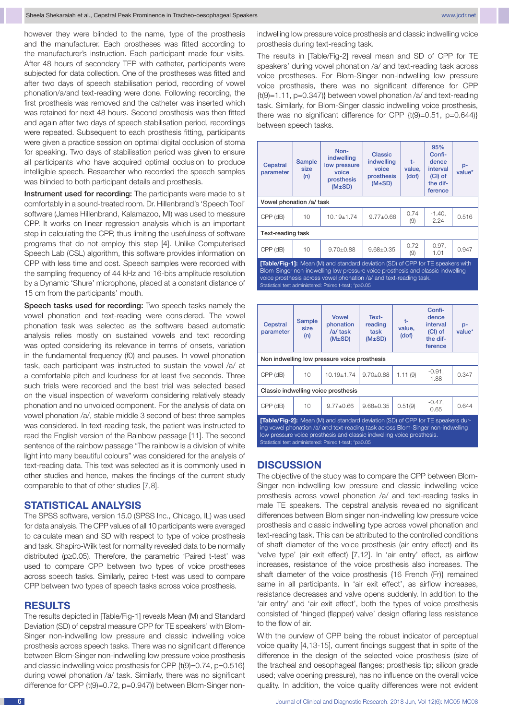however they were blinded to the name, type of the prosthesis and the manufacturer. Each prostheses was fitted according to the manufacturer's instruction. Each participant made four visits. After 48 hours of secondary TEP with catheter, participants were subjected for data collection. One of the prostheses was fitted and after two days of speech stabilisation period, recording of vowel phonation/a/and text-reading were done. Following recording, the first prosthesis was removed and the catheter was inserted which was retained for next 48 hours. Second prosthesis was then fitted and again after two days of speech stabilisation period, recordings were repeated. Subsequent to each prosthesis fitting, participants were given a practice session on optimal digital occlusion of stoma for speaking. Two days of stabilisation period was given to ensure all participants who have acquired optimal occlusion to produce intelligible speech. Researcher who recorded the speech samples was blinded to both participant details and prosthesis.

Instrument used for recording: The participants were made to sit comfortably in a sound-treated room. Dr. Hillenbrand's 'Speech Tool' software (James Hillenbrand, Kalamazoo, MI) was used to measure CPP. It works on linear regression analysis which is an important step in calculating the CPP, thus limiting the usefulness of software programs that do not employ this step [4]. Unlike Computerised Speech Lab (CSL) algorithm, this software provides information on CPP with less time and cost. Speech samples were recorded with the sampling frequency of 44 kHz and 16-bits amplitude resolution by a Dynamic 'Shure' microphone, placed at a constant distance of 15 cm from the participants' mouth.

Speech tasks used for recording: Two speech tasks namely the vowel phonation and text-reading were considered. The vowel phonation task was selected as the software based automatic analysis relies mostly on sustained vowels and text recording was opted considering its relevance in terms of onsets, variation in the fundamental frequency (f0) and pauses. In vowel phonation task, each participant was instructed to sustain the vowel /a/ at a comfortable pitch and loudness for at least five seconds. Three such trials were recorded and the best trial was selected based on the visual inspection of waveform considering relatively steady phonation and no unvoiced component. For the analysis of data on vowel phonation /a/, stable middle 3 second of best three samples was considered. In text-reading task, the patient was instructed to read the English version of the Rainbow passage [11]. The second sentence of the rainbow passage "The rainbow is a division of white light into many beautiful colours" was considered for the analysis of text-reading data. This text was selected as it is commonly used in other studies and hence, makes the findings of the current study comparable to that of other studies [7,8].

#### **STATISTICAL ANALYSIS**

The SPSS software, version 15.0 (SPSS Inc., Chicago, IL) was used for data analysis. The CPP values of all 10 participants were averaged to calculate mean and SD with respect to type of voice prosthesis and task. Shapiro-Wilk test for normality revealed data to be normally distributed (p≥0.05). Therefore, the parametric 'Paired t-test' was used to compare CPP between two types of voice prostheses across speech tasks. Similarly, paired t-test was used to compare CPP between two types of speech tasks across voice prosthesis.

## **Results**

The results depicted in [Table/Fig-1] reveals Mean (M) and Standard Deviation (SD) of cepstral measure CPP for TE speakers' with Blom-Singer non-indwelling low pressure and classic indwelling voice prosthesis across speech tasks. There was no significant difference between Blom-Singer non-indwelling low pressure voice prosthesis and classic indwelling voice prosthesis for CPP {t(9)=0.74, p=0.516} during vowel phonation /a/ task. Similarly, there was no significant difference for CPP {t(9)=0.72, p=0.947)} between Blom-Singer nonindwelling low pressure voice prosthesis and classic indwelling voice prosthesis during text-reading task.

The results in [Table/Fig-2] reveal mean and SD of CPP for TE speakers' during vowel phonation /a/ and text-reading task across voice prostheses. For Blom-Singer non-indwelling low pressure voice prosthesis, there was no significant difference for CPP {t(9)=1.11, p=0.347)} between vowel phonation /a/ and text-reading task. Similarly, for Blom-Singer classic indwelling voice prosthesis, there was no significant difference for CPP  $\{t(9)=0.51, p=0.644\}$ between speech tasks.

| Cepstral<br>parameter                                                                                                                                                                                                                           | Sample<br>size<br>(n) | Non-<br>indwelling<br>low pressure<br>voice<br>prosthesis<br>(M±SD) | Classic<br>indwelling<br>voice<br>prosthesis<br>(M±SD) | t-<br>value.<br>(dof) | 95%<br>Confi-<br>dence<br>interval<br>$(Cl)$ of<br>the dif-<br>ference | $p-$<br>value* |  |  |  |
|-------------------------------------------------------------------------------------------------------------------------------------------------------------------------------------------------------------------------------------------------|-----------------------|---------------------------------------------------------------------|--------------------------------------------------------|-----------------------|------------------------------------------------------------------------|----------------|--|--|--|
| Vowel phonation /a/ task                                                                                                                                                                                                                        |                       |                                                                     |                                                        |                       |                                                                        |                |  |  |  |
| CPP (dB)                                                                                                                                                                                                                                        | 10                    | $10.19 \pm 1.74$                                                    | $9.77 \pm 0.66$                                        | 0.74<br>(9)           | $-1.40.$<br>2.24                                                       | 0.516          |  |  |  |
| Text-reading task                                                                                                                                                                                                                               |                       |                                                                     |                                                        |                       |                                                                        |                |  |  |  |
| CPP (dB)                                                                                                                                                                                                                                        | 10                    | $9.70 \pm 0.88$                                                     | $9.68 \pm 0.35$                                        | 0.72<br>(9)           | $-0.97$ ,<br>1.01                                                      | 0.947          |  |  |  |
| <b>[Table/Fig-1]:</b> Mean (M) and standard deviation (SD) of CPP for TE speakers with<br>Blom-Singer non-indwelling low pressure voice prosthesis and classic indwelling<br>voice prosthesis across vowel phonation /a/ and text-reading task. |                       |                                                                     |                                                        |                       |                                                                        |                |  |  |  |

Statistical test administered: Paired t-test; \*p≥0.05

| Cepstral<br>parameter                                                                                                                                                                                                                                                                                        | <b>Sample</b><br>size<br>(n) | <b>Vowel</b><br>phonation<br>/a/ task<br>(M±SD) | Text-<br>reading<br>task<br>(M±SD) | t-<br>value,<br>(dof) | Confi-<br>dence<br>interval<br>$(Cl)$ of<br>the dif-<br>ference | $p-$<br>value* |  |  |  |
|--------------------------------------------------------------------------------------------------------------------------------------------------------------------------------------------------------------------------------------------------------------------------------------------------------------|------------------------------|-------------------------------------------------|------------------------------------|-----------------------|-----------------------------------------------------------------|----------------|--|--|--|
| Non indwelling low pressure voice prosthesis                                                                                                                                                                                                                                                                 |                              |                                                 |                                    |                       |                                                                 |                |  |  |  |
| $CPP$ ( $dB$ )                                                                                                                                                                                                                                                                                               | 10                           | $10.19 \pm 1.74$                                | $9.70 \pm 0.88$                    | 1.11(9)               | $-0.91$ ,<br>1.88                                               | 0.347          |  |  |  |
| Classic indwelling voice prosthesis                                                                                                                                                                                                                                                                          |                              |                                                 |                                    |                       |                                                                 |                |  |  |  |
| CPP (dB)                                                                                                                                                                                                                                                                                                     | 10                           | $9.77 \pm 0.66$                                 | $9.68 \pm 0.35$                    | 0.51(9)               | $-0.47$ ,<br>0.65                                               | 0.644          |  |  |  |
| <b>[Table/Fig-2]:</b> Mean (M) and standard deviation (SD) of CPP for TE speakers dur-<br>ing vowel phonation /a/ and text-reading task across Blom-Singer non-indwelling<br>low pressure voice prosthesis and classic indwelling voice prosthesis.<br>Statistical test administered: Paired t-test; *p≥0.05 |                              |                                                 |                                    |                       |                                                                 |                |  |  |  |

## **Discussion**

The objective of the study was to compare the CPP between Blom-Singer non-indwelling low pressure and classic indwelling voice prosthesis across vowel phonation /a/ and text-reading tasks in male TE speakers. The cepstral analysis revealed no significant differences between Blom singer non-indwelling low pressure voice prosthesis and classic indwelling type across vowel phonation and text-reading task. This can be attributed to the controlled conditions of shaft diameter of the voice prosthesis (air entry effect) and its 'valve type' (air exit effect) [7,12]. In 'air entry' effect, as airflow increases, resistance of the voice prosthesis also increases. The shaft diameter of the voice prosthesis {16 French (Fr)} remained same in all participants. In 'air exit effect', as airflow increases, resistance decreases and valve opens suddenly. In addition to the 'air entry' and 'air exit effect', both the types of voice prosthesis consisted of 'hinged (flapper) valve' design offering less resistance to the flow of air.

With the purview of CPP being the robust indicator of perceptual voice quality [4,13-15], current findings suggest that in spite of the difference in the design of the selected voice prosthesis (size of the tracheal and oesophageal flanges; prosthesis tip; silicon grade used; valve opening pressure), has no influence on the overall voice quality. In addition, the voice quality differences were not evident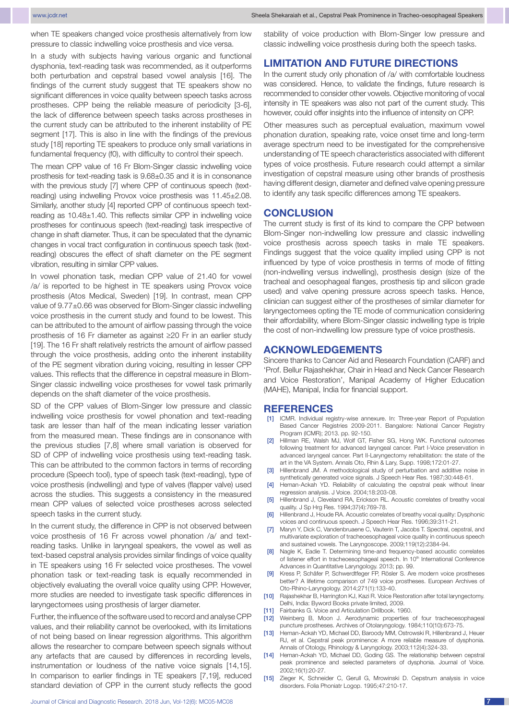when TE speakers changed voice prosthesis alternatively from low pressure to classic indwelling voice prosthesis and vice versa.

In a study with subjects having various organic and functional dysphonia, text-reading task was recommended, as it outperforms both perturbation and cepstral based vowel analysis [16]. The findings of the current study suggest that TE speakers show no significant differences in voice quality between speech tasks across prostheses. CPP being the reliable measure of periodicity [3-6], the lack of difference between speech tasks across prostheses in the current study can be attributed to the inherent instability of PE segment [17]. This is also in line with the findings of the previous study [18] reporting TE speakers to produce only small variations in fundamental frequency (f0), with difficulty to control their speech.

The mean CPP value of 16 Fr Blom-Singer classic indwelling voice prosthesis for text-reading task is 9.68±0.35 and it is in consonance with the previous study [7] where CPP of continuous speech (textreading) using indwelling Provox voice prosthesis was 11.45±2.08. Similarly, another study [4] reported CPP of continuous speech textreading as 10.48±1.40. This reflects similar CPP in indwelling voice prostheses for continuous speech (text-reading) task irrespective of change in shaft diameter. Thus, it can be speculated that the dynamic changes in vocal tract configuration in continuous speech task (textreading) obscures the effect of shaft diameter on the PE segment vibration, resulting in similar CPP values.

In vowel phonation task, median CPP value of 21.40 for vowel /a/ is reported to be highest in TE speakers using Provox voice prosthesis (Atos Medical, Sweden) [19]. In contrast, mean CPP value of 9.77±0.66 was observed for Blom-Singer classic indwelling voice prosthesis in the current study and found to be lowest. This can be attributed to the amount of airflow passing through the voice prosthesis of 16 Fr diameter as against ≥20 Fr in an earlier study [19]. The 16 Fr shaft relatively restricts the amount of airflow passed through the voice prosthesis, adding onto the inherent instability of the PE segment vibration during voicing, resulting in lesser CPP values. This reflects that the difference in cepstral measure in Blom-Singer classic indwelling voice prostheses for vowel task primarily depends on the shaft diameter of the voice prosthesis.

SD of the CPP values of Blom-Singer low pressure and classic indwelling voice prosthesis for vowel phonation and text-reading task are lesser than half of the mean indicating lesser variation from the measured mean. These findings are in consonance with the previous studies [7,8] where small variation is observed for SD of CPP of indwelling voice prosthesis using text-reading task. This can be attributed to the common factors in terms of recording procedure (Speech tool), type of speech task (text-reading), type of voice prosthesis (indwelling) and type of valves (flapper valve) used across the studies. This suggests a consistency in the measured mean CPP values of selected voice prostheses across selected speech tasks in the current study.

In the current study, the difference in CPP is not observed between voice prosthesis of 16 Fr across vowel phonation /a/ and textreading tasks. Unlike in laryngeal speakers, the vowel as well as text-based cepstral analysis provides similar findings of voice quality in TE speakers using 16 Fr selected voice prostheses. The vowel phonation task or text-reading task is equally recommended in objectively evaluating the overall voice quality using CPP. However, more studies are needed to investigate task specific differences in laryngectomees using prosthesis of larger diameter.

Further, the influence of the software used to record and analyse CPP values, and their reliability cannot be overlooked, with its limitations of not being based on linear regression algorithms. This algorithm allows the researcher to compare between speech signals without any artefacts that are caused by differences in recording levels, instrumentation or loudness of the native voice signals [14,15]. In comparison to earlier findings in TE speakers [7,19], reduced standard deviation of CPP in the current study reflects the good stability of voice production with Blom-Singer low pressure and classic indwelling voice prosthesis during both the speech tasks.

## **Limitation AND FUTURE DIRECTIONS**

In the current study only phonation of /a/ with comfortable loudness was considered. Hence, to validate the findings, future research is recommended to consider other vowels. Objective monitoring of vocal intensity in TE speakers was also not part of the current study. This however, could offer insights into the influence of intensity on CPP.

Other measures such as perceptual evaluation, maximum vowel phonation duration, speaking rate, voice onset time and long-term average spectrum need to be investigated for the comprehensive understanding of TE speech characteristics associated with different types of voice prosthesis. Future research could attempt a similar investigation of cepstral measure using other brands of prosthesis having different design, diameter and defined valve opening pressure to identify any task specific differences among TE speakers.

#### **Conclusion**

The current study is first of its kind to compare the CPP between Blom-Singer non-indwelling low pressure and classic indwelling voice prosthesis across speech tasks in male TE speakers. Findings suggest that the voice quality implied using CPP is not influenced by type of voice prosthesis in terms of mode of fitting (non-indwelling versus indwelling), prosthesis design (size of the tracheal and oesophageal flanges, prosthesis tip and silicon grade used) and valve opening pressure across speech tasks. Hence, clinician can suggest either of the prostheses of similar diameter for laryngectomees opting the TE mode of communication considering their affordability, where Blom-Singer classic indwelling type is triple the cost of non-indwelling low pressure type of voice prosthesis.

#### **ACKNOWLEDGEMENTs**

Sincere thanks to Cancer Aid and Research Foundation (CARF) and 'Prof. Bellur Rajashekhar, Chair in Head and Neck Cancer Research and Voice Restoration', Manipal Academy of Higher Education (MAHE), Manipal, India for financial support.

#### **References**

- [1] ICMR. Individual registry-wise annexure. In: Three-year Report of Population Based Cancer Registries 2009-2011. Bangalore: National Cancer Registry Program (ICMR); 2013. pp. 92-150.
- Hillman RE, Walsh MJ, Wolf GT, Fisher SG, Hong WK. Functional outcomes following treatment for advanced laryngeal cancer. Part I-Voice preservation in advanced laryngeal cancer. Part II-Laryngectomy rehabilitation: the state of the art in the VA System. Annals Oto, Rhin & Lary, Supp. 1998;172:01-27.
- [3] Hillenbrand JM. A methodological study of perturbation and additive noise in synthetically generated voice signals. J Speech Hear Res. 1987;30:448-61.
- [4] Heman-Ackah YD. Reliability of calculating the cepstral peak without linear regression analysis. J Voice. 2004;18:203-08.
- [5] Hillenbrand J, Cleveland RA, Erickson RL. Acoustic correlates of breathy vocal quality. J Sp Hrg Res. 1994;37(4):769-78.
- [6] Hillenbrand J, Houde RA. Acoustic correlates of breathy vocal quality: Dysphonic voices and continuous speech. J Speech Hear Res. 1996;39:311-21.
- [7] Maryn Y, Dick C, Vandenbruaene C, Vauterin T, Jacobs T. Spectral, cepstral, and multivariate exploration of tracheoesophageal voice quality in continuous speech and sustained vowels. The Laryngoscope. 2009;119(12):2384-94.
- [8] Nagle K, Eadie T. Determining time-and frequency-based acoustic correlates of listener effort in tracheoesophageal speech. In 10<sup>th</sup> International Conference Advances in Quantitative Laryngology. 2013; pp. 99.
- Kress P, Schäfer P, Schwerdtfeger FP, Rösler S. Are modern voice prostheses better? A lifetime comparison of 749 voice prostheses. European Archives of Oto-Rhino-Laryngology. 2014;271(1):133-40.
- [10] Rajashekhar B, Harrington KJ, Kazi R. Voice Restoration after total laryngectomy. Delhi, India: Byword Books private limited, 2009.
- [11] Fairbanks G. Voice and Articulation Drillbook. 1960.
- [12] Weinberg B, Moon J. Aerodynamic properties of four tracheoesophageal puncture prostheses. Archives of Otolaryngology. 1984;110(10):673-75.
- Heman-Ackah YD, Michael DD, Baroody MM, Ostrowski R, Hillenbrand J, Heuer RJ, et al. Cepstral peak prominence: A more reliable measure of dysphonia. Annals of Otology, Rhinology & Laryngology. 2003;112(4):324-33.
- [14] Heman-Ackah YD, Michael DD, Goding GS. The relationship between cepstral peak prominence and selected parameters of dysphonia. Journal of Voice. 2002;16(1):20-27.
- [15] Zieger K, Schneider C, Gerull G, Mrowinski D. Cepstrum analysis in voice disorders. Folia Phoniatr Logop. 1995;47:210-17.